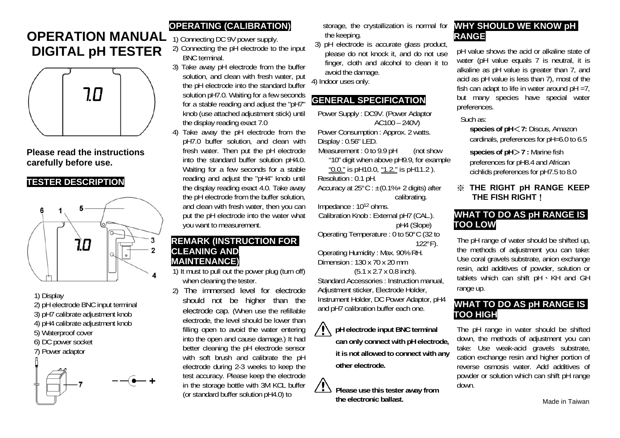# **OPERATION MANUAL DIGITAL pH TESTER**



**Please read the instructions carefully before use.** 

### **TESTER DESCRIPTION**



#### 1) Display

- 2) pH electrode BNC input terminal
- 3) pH7 calibrate adjustment knob
- 4) pH4 calibrate adjustment knob
- 5) Waterproof cover
- 6) DC power socket
- 7) Power adaptor



## **OPERATING (CALIBRATION)**

1) Connecting DC 9V power supply.

- 2) Connecting the pH electrode to the input BNC terminal.
- 3) Take away pH electrode from the buffer solution, and clean with fresh water, put the pH electrode into the standard buffer solution pH7.0. Waiting for a few seconds for a stable reading and adjust the "pH7" knob (use attached adjustment stick) until the display reading exact 7.0
- 4) Take away the pH electrode from the pH7.0 buffer solution, and clean with fresh water. Then put the pH electrode into the standard buffer solution pH4.0. Waiting for a few seconds for a stable reading and adjust the "pH4" knob until the display reading exact 4.0. Take away the pH electrode from the buffer solution, and clean with fresh water, then you can put the pH electrode into the water what you want to measurement.

#### **REMARK (INSTRUCTION FOR CLEANING AND MAINTENANCE)**

1) It must to pull out the power plug (turn off) when cleaning the tester.

2) The immersed level for electrode should not be higher than the electrode cap. (When use the refillable electrode, the level should be lower than filling open to avoid the water entering into the open and cause damage.) It had better cleaning the pH electrode sensor with soft brush and calibrate the pH electrode during 2-3 weeks to keep the test accuracy. Please keep the electrode in the storage bottle with 3M KCL buffer (or standard buffer solution pH4.0) to

storage, the crystallization is normal for the keeping.

3) pH electrode is accurate glass product, please do not knock it, and do not use finger, cloth and alcohol to clean it to avoid the damage.

4) Indoor uses only.

### **GENERAL SPECIFICATION**

Power Supply : DC9V. (Power Adaptor AC100 – 240V) Power Consumption : Approx. 2 watts.

Display : 0.56" LED.

Measurement : 0 to 9.9 pH (not show "10" digit when above pH9.9, for example "0.0." is pH10.0, "1.2." is pH11.2 ).

Resolution : 0.1 pH.

Accuracy at  $25^{\circ}$ C :  $\pm$ (0.1%+ 2 digits) after calibrating.

Impedance : 1012 ohms.

Calibration Knob : External pH7 (CAL.). pH4 (Slope) Operating Temperature : 0 to 50°C (32 to

122°F).

Operating Humidity : Max. 90% RH. Dimension : 130 x 70 x 20 mm

(5.1 x 2.7 x 0.8 inch). Standard Accessories : Instruction manual, Adjustment sticker, Electrode Holder, Instrument Holder, DC Power Adaptor, pH4 and pH7 calibration buffer each one.

> **pH electrode input BNC terminal can only connect with pH electrode, it is not allowed to connect with any other electrode.**

 **Please use this tester away from the electronic ballast.**

## **WHY SHOULD WE KNOW pH RANGE**

pH value shows the acid or alkaline state of water (pH value equals 7 is neutral, it is alkaline as pH value is greater than 7, and acid as pH value is less than 7), most of the fish can adapt to life in water around  $pH = 7$ . but many species have special water preferences.

Such as:

**species of pH** <**7:** Discus, Amazon cardinals, preferences for pH=6.0 to 6.5

**species of pH** >**7 :** Marine fish preferences for pH8.4 and African cichlids preferences for pH7.5 to 8.0

#### ※ **THE RIGHT pH RANGE KEEP THE FISH RIGHT**!

## **WHAT TO DO AS pH RANGE IS TOO LOW**

The pH range of water should be shifted up, the methods of adjustment you can take: Use coral gravels substrate, anion exchange resin, add additives of powder, solution or tablets which can shift pH、KH and GH range up.

## **WHAT TO DO AS pH RANGE IS TOO HIGH**

The pH range in water should be shifted down, the methods of adjustment you can take: Use weak-acid gravels substrate, cation exchange resin and higher portion of reverse osmosis water. Add additives of powder or solution which can shift pH range down.